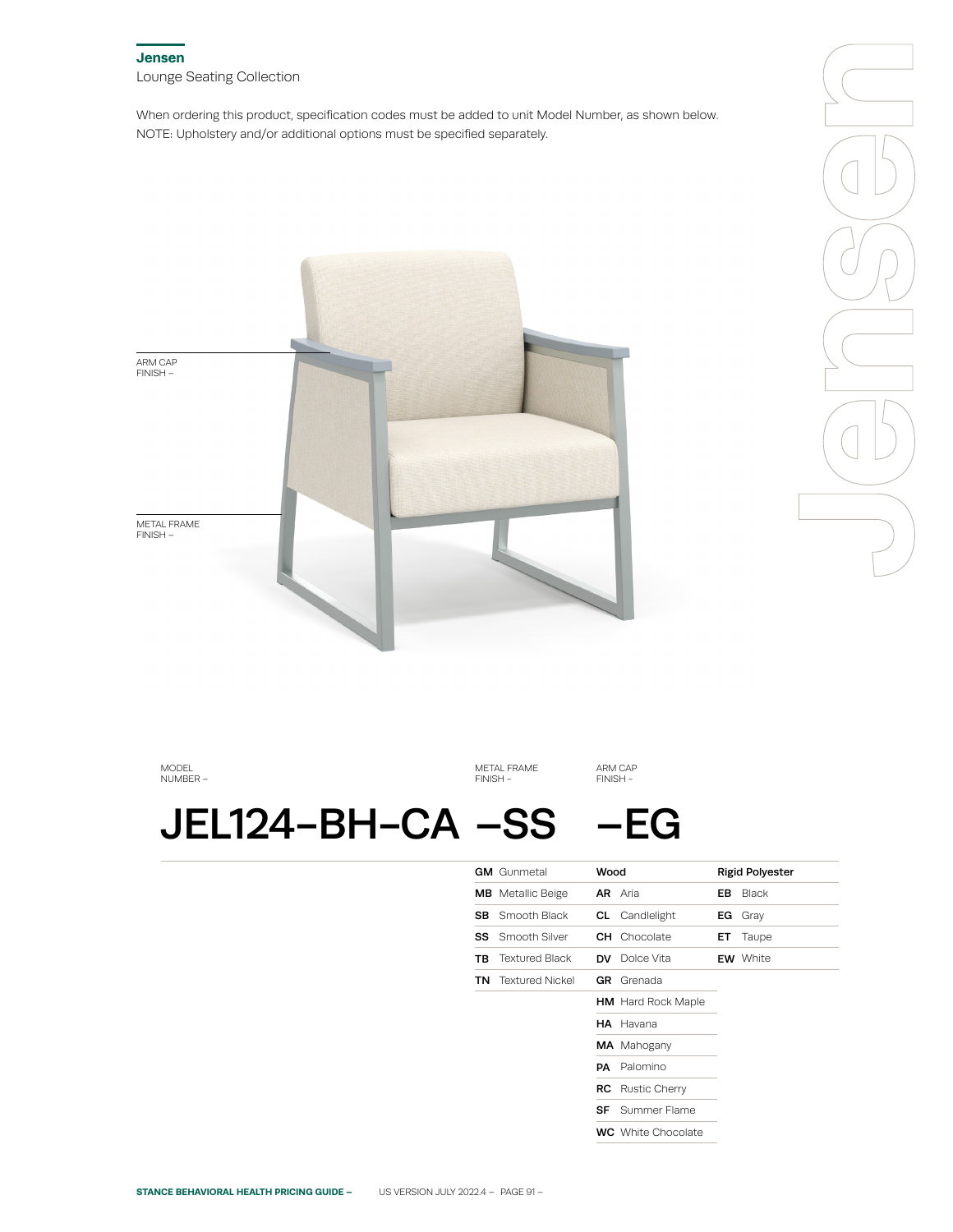## **Jensen** Lounge Seating Collection

When ordering this product, specification codes must be added to unit Model Number, as shown below. NOTE: Upholstery and/or additional options must be specified separately.



MODEL NUMBER –

METAL FRAME FINISH -

ARM CAP FINISH -

# JEL124-BH-CA –SS –EG

|     | <b>GM</b> Gunmetal        | Wood           |                           |     | <b>Rigid Polyester</b> |
|-----|---------------------------|----------------|---------------------------|-----|------------------------|
|     | <b>MB</b> Metallic Beige  | <b>AR</b> Aria |                           | EB. | Black                  |
| SB. | Smooth Black              |                | <b>CL</b> Candlelight     | EG. | Gray                   |
| SS  | Smooth Silver             |                | <b>CH</b> Chocolate       | ET. | Taupe                  |
| ΤВ  | <b>Textured Black</b>     |                | <b>DV</b> Dolce Vita      |     | <b>EW</b> White        |
|     | <b>TN</b> Textured Nickel | GR.            | Grenada                   |     |                        |
|     |                           |                | <b>HM</b> Hard Rock Maple |     |                        |
|     |                           |                | HA Havana                 |     |                        |
|     |                           |                | MA Mahogany               |     |                        |
|     |                           | PA             | Palomino                  |     |                        |
|     |                           |                | <b>RC</b> Rustic Cherry   |     |                        |
|     |                           | SF             | Summer Flame              |     |                        |
|     |                           |                | <b>WC</b> White Chocolate |     |                        |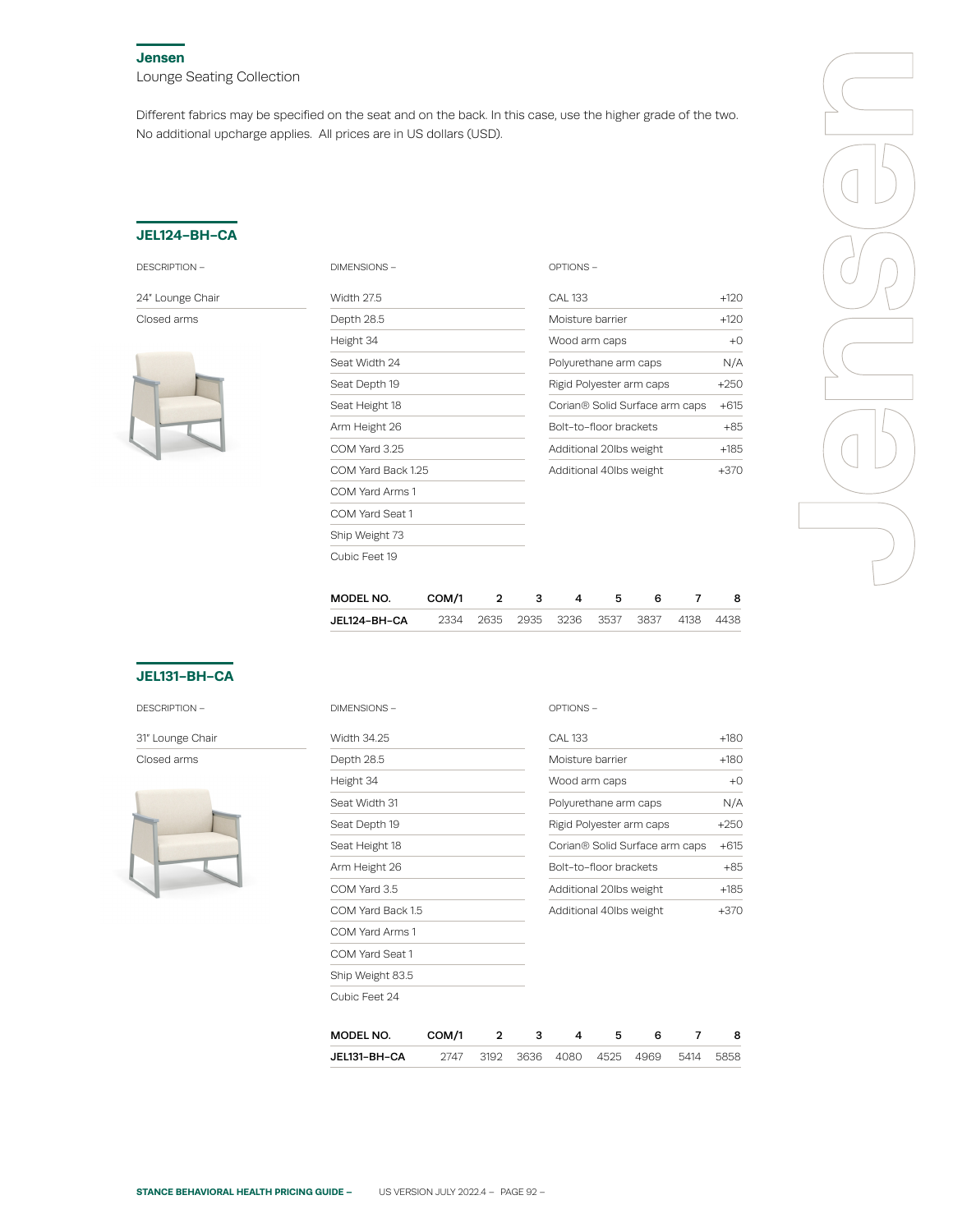#### **Jensen**

Lounge Seating Collection

Different fabrics may be specified on the seat and on the back. In this case, use the higher grade of the two. No additional upcharge applies. All prices are in US dollars (USD).

### **JEL124-BH-CA**

| DESCRIPTION |
|-------------|
|-------------|

24" Lounge Chair

Closed arms



| <b>DIMENSIONS -</b> | OPTIONS-                       |        |
|---------------------|--------------------------------|--------|
| <b>Width 27.5</b>   | <b>CAL 133</b>                 | $+120$ |
| Depth 28.5          | Moisture barrier               | $+120$ |
| Height 34           | Wood arm caps                  | $+0$   |
| Seat Width 24       | Polyurethane arm caps          | N/A    |
| Seat Depth 19       | Rigid Polyester arm caps       | $+250$ |
| Seat Height 18      | Corian® Solid Surface arm caps | $+615$ |
| Arm Height 26       | Bolt-to-floor brackets         | $+85$  |
| COM Yard 3.25       | Additional 20lbs weight        | $+185$ |
| COM Yard Back 1.25  | Additional 40lbs weight        | $+370$ |
| COM Yard Arms 1     |                                |        |
| COM Yard Seat 1     |                                |        |
| Ship Weight 73      |                                |        |
| Cubic Feet 19       |                                |        |
|                     |                                |        |
|                     |                                |        |



| MODEL NO.    | COM/1 | 3 | $\mathbf{A}$                            | - 5 |  |  |
|--------------|-------|---|-----------------------------------------|-----|--|--|
| JEL124-BH-CA |       |   | 2334 2635 2935 3236 3537 3837 4138 4438 |     |  |  |

OPTIONS –

# **JEL131-BH-CA**

DESCRIPTION –

31" Lounge Chair

Closed arms



| <b>Width 34.25</b> |       |              |      | <b>CAL 133</b>          |      |                                |      | $+180$ |
|--------------------|-------|--------------|------|-------------------------|------|--------------------------------|------|--------|
| Depth 28.5         |       |              |      | Moisture barrier        |      |                                |      | $+180$ |
| Height 34          |       |              |      | Wood arm caps           |      |                                |      | $+0$   |
| Seat Width 31      |       |              |      | Polyurethane arm caps   |      |                                |      | N/A    |
| Seat Depth 19      |       |              |      |                         |      | Rigid Polyester arm caps       |      | $+250$ |
| Seat Height 18     |       |              |      |                         |      | Corian® Solid Surface arm caps |      | $+615$ |
| Arm Height 26      |       |              |      | Bolt-to-floor brackets  |      |                                |      | $+85$  |
| COM Yard 3.5       |       |              |      | Additional 20lbs weight |      |                                |      | $+185$ |
| COM Yard Back 1.5  |       |              |      | Additional 40lbs weight |      |                                |      | $+370$ |
| COM Yard Arms 1    |       |              |      |                         |      |                                |      |        |
| COM Yard Seat 1    |       |              |      |                         |      |                                |      |        |
| Ship Weight 83.5   |       |              |      |                         |      |                                |      |        |
| Cubic Feet 24      |       |              |      |                         |      |                                |      |        |
| MODEL NO.          | COM/1 | $\mathbf{2}$ | 3    | 4                       | 5    | 6                              | 7    | 8      |
| JEL131-BH-CA       | 2747  | 3192         | 3636 | 4080                    | 4525 | 4969                           | 5414 | 5858   |

DIMENSIONS –